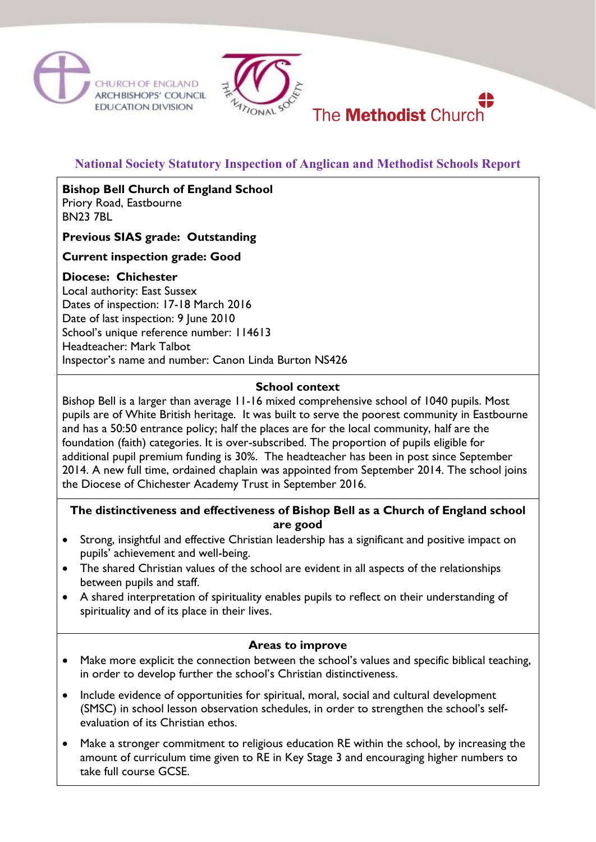



# **National Society Statutory Inspection of Anglican and Methodist Schools Report**

The **Methodist** Church

**Bishop Bell Church of England School** Priory Road, Eastbourne BN23 7BL

**Previous SIAS grade: Outstanding**

# **Current inspection grade: Good**

#### **Diocese: Chichester**

Local authority: East Sussex Dates of inspection: 17-18 March 2016 Date of last inspection: 9 June 2010 School's unique reference number: 114613 Headteacher: Mark Talbot Inspector's name and number: Canon Linda Burton NS426

#### **School context**

Bishop Bell is a larger than average 11-16 mixed comprehensive school of 1040 pupils. Most pupils are of White British heritage. It was built to serve the poorest community in Eastbourne and has a 50:50 entrance policy; half the places are for the local community, half are the foundation (faith) categories. It is over-subscribed. The proportion of pupils eligible for additional pupil premium funding is 30%. The headteacher has been in post since September 2014. A new full time, ordained chaplain was appointed from September 2014. The school joins the Diocese of Chichester Academy Trust in September 2016.

# **The distinctiveness and effectiveness of Bishop Bell as a Church of England school are good**

- Strong, insightful and effective Christian leadership has a significant and positive impact on pupils' achievement and well-being.
- The shared Christian values of the school are evident in all aspects of the relationships between pupils and staff.
- A shared interpretation of spirituality enables pupils to reflect on their understanding of spirituality and of its place in their lives.

#### **Areas to improve**

- Make more explicit the connection between the school's values and specific biblical teaching, in order to develop further the school's Christian distinctiveness.
- Include evidence of opportunities for spiritual, moral, social and cultural development (SMSC) in school lesson observation schedules, in order to strengthen the school's selfevaluation of its Christian ethos.
- Make a stronger commitment to religious education RE within the school, by increasing the amount of curriculum time given to RE in Key Stage 3 and encouraging higher numbers to take full course GCSE.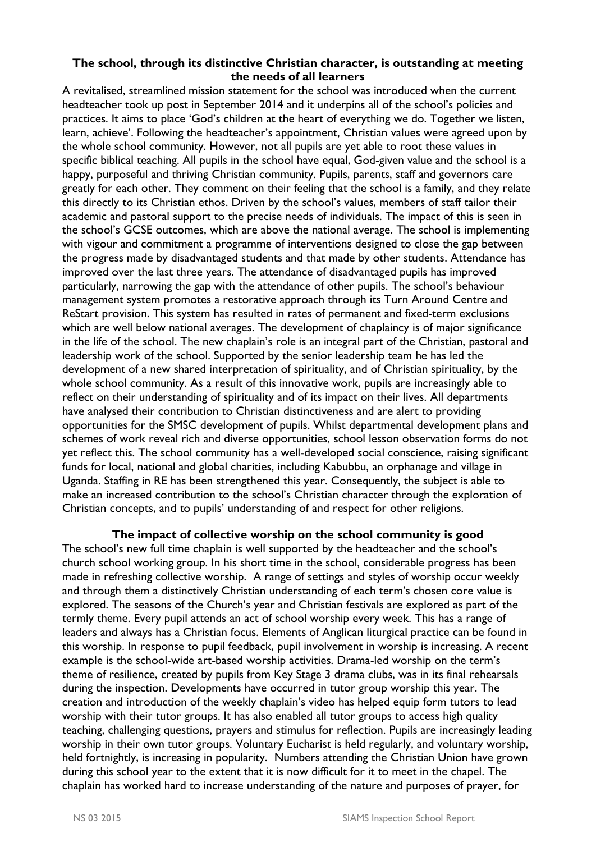### **The school, through its distinctive Christian character, is outstanding at meeting the needs of all learners**

A revitalised, streamlined mission statement for the school was introduced when the current headteacher took up post in September 2014 and it underpins all of the school's policies and practices. It aims to place 'God's children at the heart of everything we do. Together we listen, learn, achieve'. Following the headteacher's appointment, Christian values were agreed upon by the whole school community. However, not all pupils are yet able to root these values in specific biblical teaching. All pupils in the school have equal, God-given value and the school is a happy, purposeful and thriving Christian community. Pupils, parents, staff and governors care greatly for each other. They comment on their feeling that the school is a family, and they relate this directly to its Christian ethos. Driven by the school's values, members of staff tailor their academic and pastoral support to the precise needs of individuals. The impact of this is seen in the school's GCSE outcomes, which are above the national average. The school is implementing with vigour and commitment a programme of interventions designed to close the gap between the progress made by disadvantaged students and that made by other students. Attendance has improved over the last three years. The attendance of disadvantaged pupils has improved particularly, narrowing the gap with the attendance of other pupils. The school's behaviour management system promotes a restorative approach through its Turn Around Centre and ReStart provision. This system has resulted in rates of permanent and fixed-term exclusions which are well below national averages. The development of chaplaincy is of major significance in the life of the school. The new chaplain's role is an integral part of the Christian, pastoral and leadership work of the school. Supported by the senior leadership team he has led the development of a new shared interpretation of spirituality, and of Christian spirituality, by the whole school community. As a result of this innovative work, pupils are increasingly able to reflect on their understanding of spirituality and of its impact on their lives. All departments have analysed their contribution to Christian distinctiveness and are alert to providing opportunities for the SMSC development of pupils. Whilst departmental development plans and schemes of work reveal rich and diverse opportunities, school lesson observation forms do not yet reflect this. The school community has a well-developed social conscience, raising significant funds for local, national and global charities, including Kabubbu, an orphanage and village in Uganda. Staffing in RE has been strengthened this year. Consequently, the subject is able to make an increased contribution to the school's Christian character through the exploration of Christian concepts, and to pupils' understanding of and respect for other religions.

#### **The impact of collective worship on the school community is good**

The school's new full time chaplain is well supported by the headteacher and the school's church school working group. In his short time in the school, considerable progress has been made in refreshing collective worship. A range of settings and styles of worship occur weekly and through them a distinctively Christian understanding of each term's chosen core value is explored. The seasons of the Church's year and Christian festivals are explored as part of the termly theme. Every pupil attends an act of school worship every week. This has a range of leaders and always has a Christian focus. Elements of Anglican liturgical practice can be found in this worship. In response to pupil feedback, pupil involvement in worship is increasing. A recent example is the school-wide art-based worship activities. Drama-led worship on the term's theme of resilience, created by pupils from Key Stage 3 drama clubs, was in its final rehearsals during the inspection. Developments have occurred in tutor group worship this year. The creation and introduction of the weekly chaplain's video has helped equip form tutors to lead worship with their tutor groups. It has also enabled all tutor groups to access high quality teaching, challenging questions, prayers and stimulus for reflection. Pupils are increasingly leading worship in their own tutor groups. Voluntary Eucharist is held regularly, and voluntary worship, held fortnightly, is increasing in popularity. Numbers attending the Christian Union have grown during this school year to the extent that it is now difficult for it to meet in the chapel. The chaplain has worked hard to increase understanding of the nature and purposes of prayer, for